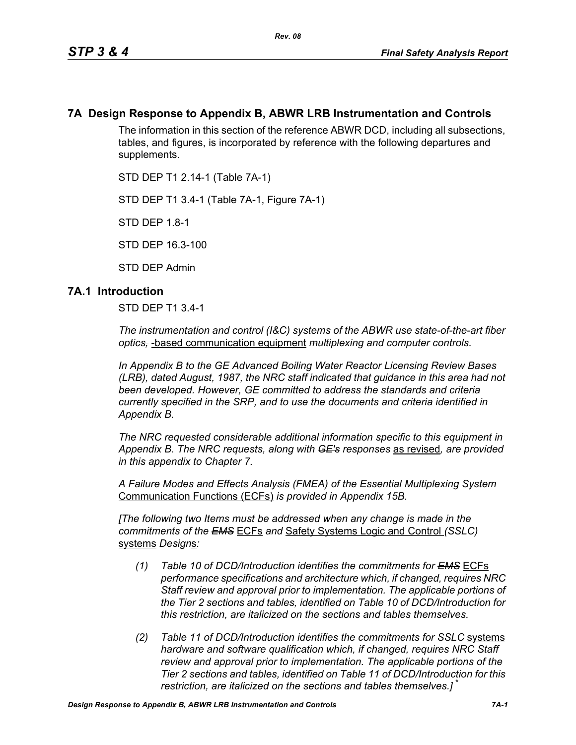## **7A Design Response to Appendix B, ABWR LRB Instrumentation and Controls**

The information in this section of the reference ABWR DCD, including all subsections, tables, and figures, is incorporated by reference with the following departures and supplements.

STD DEP T1 2.14-1 (Table 7A-1)

STD DEP T1 3.4-1 (Table 7A-1, Figure 7A-1)

STD DEP 1.8-1

STD DEP 16.3-100

STD DEP Admin

### **7A.1 Introduction**

STD DEP T1 3.4-1

*The instrumentation and control (I&C) systems of the ABWR use state-of-the-art fiber optics,* -based communication equipment *multiplexing and computer controls.* 

*In Appendix B to the GE Advanced Boiling Water Reactor Licensing Review Bases (LRB), dated August, 1987, the NRC staff indicated that guidance in this area had not been developed. However, GE committed to address the standards and criteria currently specified in the SRP, and to use the documents and criteria identified in Appendix B.*

*The NRC requested considerable additional information specific to this equipment in Appendix B. The NRC requests, along with GE's responses* as revised*, are provided in this appendix to Chapter 7.*

*A Failure Modes and Effects Analysis (FMEA) of the Essential Multiplexing System* Communication Functions (ECFs) *is provided in Appendix 15B.*

*[The following two Items must be addressed when any change is made in the commitments of the EMS* ECFs *and* Safety Systems Logic and Control *(SSLC)* systems *Design*s*:*

- *(1) Table 10 of DCD/Introduction identifies the commitments for EMS* ECFs *performance specifications and architecture which, if changed, requires NRC Staff review and approval prior to implementation. The applicable portions of the Tier 2 sections and tables, identified on Table 10 of DCD/Introduction for this restriction, are italicized on the sections and tables themselves.*
- *(2) Table 11 of DCD/Introduction identifies the commitments for SSLC* systems *hardware and software qualification which, if changed, requires NRC Staff review and approval prior to implementation. The applicable portions of the Tier 2 sections and tables, identified on Table 11 of DCD/Introduction for this restriction, are italicized on the sections and tables themselves.]* \*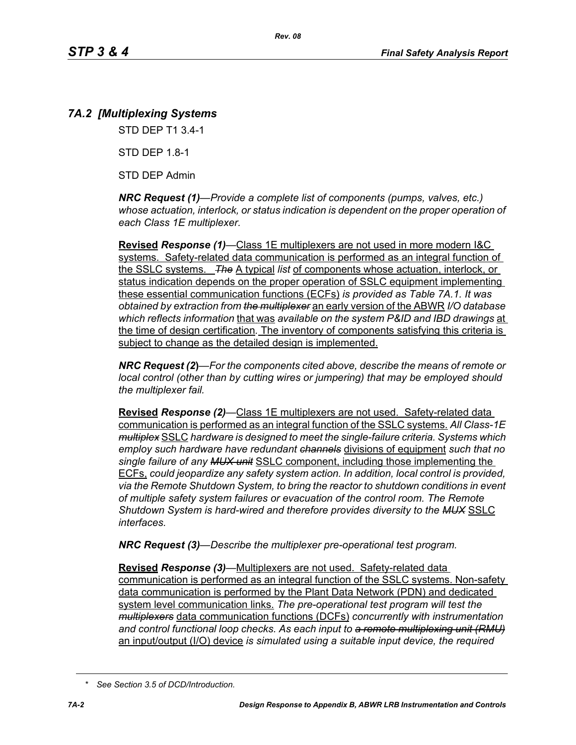# *7A.2 [Multiplexing Systems*

STD DEP T1 3.4-1

STD DEP 1.8-1

STD DEP Admin

*NRC Request (1)—Provide a complete list of components (pumps, valves, etc.) whose actuation, interlock, or status indication is dependent on the proper operation of each Class 1E multiplexer.*

**Revised** *Response (1)—*Class 1E multiplexers are not used in more modern I&C systems. Safety-related data communication is performed as an integral function of the SSLC systems. *The* A typical *list* of components whose actuation, interlock, or status indication depends on the proper operation of SSLC equipment implementing these essential communication functions (ECFs) *is provided as Table 7A.1. It was obtained by extraction from the multiplexer* an early version of the ABWR *I/O database which reflects information* that was *available on the system P&ID and IBD drawings* at the time of design certification*.* The inventory of components satisfying this criteria is subject to change as the detailed design is implemented.

*NRC Request (2***)***—For the components cited above, describe the means of remote or local control (other than by cutting wires or jumpering) that may be employed should the multiplexer fail.*

**Revised** *Response (2)—*Class 1E multiplexers are not used. Safety-related data communication is performed as an integral function of the SSLC systems. *All Class-1E multiplex* SSLC *hardware is designed to meet the single-failure criteria. Systems which employ such hardware have redundant channels* divisions of equipment *such that no single failure of any MUX unit* SSLC component, including those implementing the ECFs, *could jeopardize any safety system action. In addition, local control is provided, via the Remote Shutdown System, to bring the reactor to shutdown conditions in event of multiple safety system failures or evacuation of the control room. The Remote Shutdown System is hard-wired and therefore provides diversity to the MUX* SSLC *interfaces.*

*NRC Request (3)—Describe the multiplexer pre-operational test program.*

**Revised** *Response (3)—*Multiplexers are not used. Safety-related data communication is performed as an integral function of the SSLC systems. Non-safety data communication is performed by the Plant Data Network (PDN) and dedicated system level communication links. *The pre-operational test program will test the multiplexers* data communication functions (DCFs) *concurrently with instrumentation and control functional loop checks. As each input to a remote multiplexing unit (RMU)* an input/output (I/O) device *is simulated using a suitable input device, the required* 

*<sup>\*</sup> See Section 3.5 of DCD/Introduction.*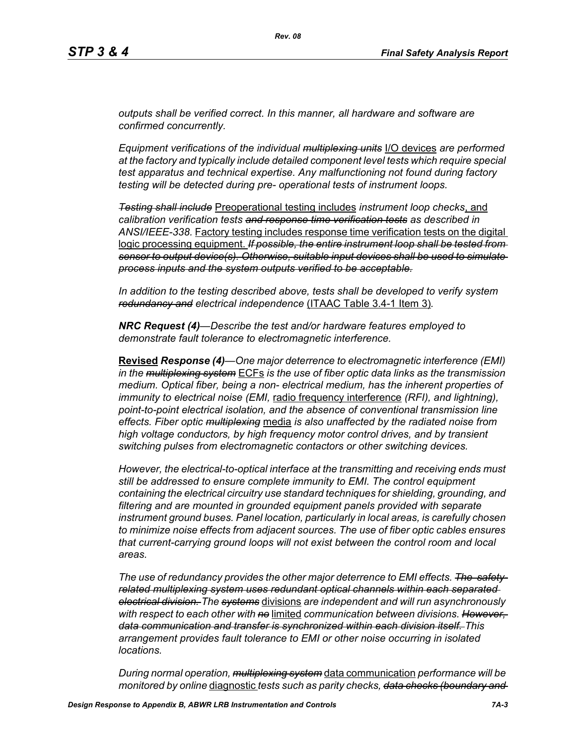*outputs shall be verified correct. In this manner, all hardware and software are confirmed concurrently.*

*Equipment verifications of the individual multiplexing units* I/O devices *are performed at the factory and typically include detailed component level tests which require special test apparatus and technical expertise. Any malfunctioning not found during factory testing will be detected during pre- operational tests of instrument loops.*

*Testing shall include* Preoperational testing includes *instrument loop checks*, and *calibration verification tests and response time verification tests as described in ANSI/IEEE-338.* Factory testing includes response time verification tests on the digital logic processing equipment. *If possible, the entire instrument loop shall be tested from sensor to output device(s). Otherwise, suitable input devices shall be used to simulate process inputs and the system outputs verified to be acceptable.*

*In addition to the testing described above, tests shall be developed to verify system redundancy and electrical independence* (ITAAC Table 3.4-1 Item 3)*.*

*NRC Request (4)—Describe the test and/or hardware features employed to demonstrate fault tolerance to electromagnetic interference.*

**Revised** *Response (4)—One major deterrence to electromagnetic interference (EMI) in the multiplexing system* ECFs *is the use of fiber optic data links as the transmission medium. Optical fiber, being a non- electrical medium, has the inherent properties of immunity to electrical noise (EMI,* radio frequency interference *(RFI), and lightning), point-to-point electrical isolation, and the absence of conventional transmission line effects. Fiber optic multiplexing* media *is also unaffected by the radiated noise from high voltage conductors, by high frequency motor control drives, and by transient switching pulses from electromagnetic contactors or other switching devices.* 

*However, the electrical-to-optical interface at the transmitting and receiving ends must still be addressed to ensure complete immunity to EMI. The control equipment containing the electrical circuitry use standard techniques for shielding, grounding, and filtering and are mounted in grounded equipment panels provided with separate instrument ground buses. Panel location, particularly in local areas, is carefully chosen to minimize noise effects from adjacent sources. The use of fiber optic cables ensures that current-carrying ground loops will not exist between the control room and local areas.* 

*The use of redundancy provides the other major deterrence to EMI effects. The safetyrelated multiplexing system uses redundant optical channels within each separated electrical division. The systems* divisions *are independent and will run asynchronously with respect to each other with no* limited *communication between divisions. However, data communication and transfer is synchronized within each division itself. This arrangement provides fault tolerance to EMI or other noise occurring in isolated locations.* 

*During normal operation, multiplexing system* data communication *performance will be monitored by online* diagnostic *tests such as parity checks, data checks (boundary and*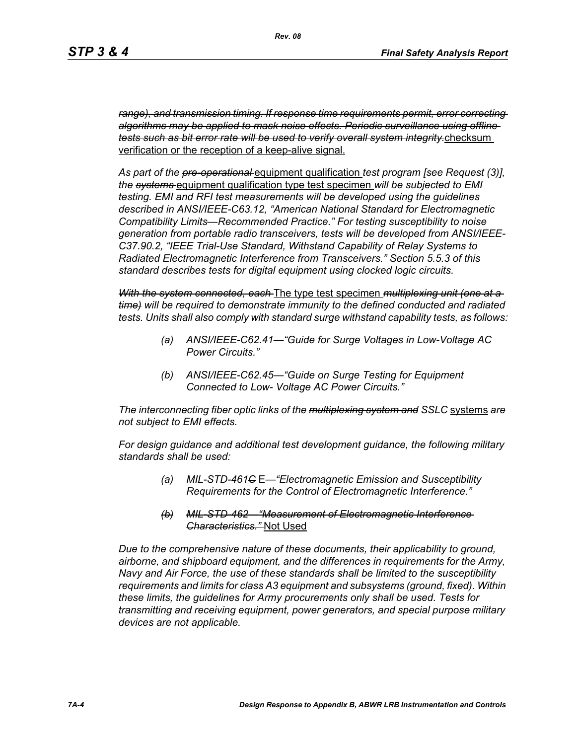*range), and transmission timing. If response time requirements permit, error correcting algorithms may be applied to mask noise effects. Periodic surveillance using offline tests such as bit error rate will be used to verify overall system integrity.*checksum verification or the reception of a keep-alive signal.

*As part of the pre-operational* equipment qualification *test program [see Request (3)], the systems* equipment qualification type test specimen *will be subjected to EMI testing. EMI and RFI test measurements will be developed using the guidelines described in ANSI/IEEE-C63.12, "American National Standard for Electromagnetic Compatibility Limits—Recommended Practice." For testing susceptibility to noise generation from portable radio transceivers, tests will be developed from ANSI/IEEE-C37.90.2, "IEEE Trial-Use Standard, Withstand Capability of Relay Systems to Radiated Electromagnetic Interference from Transceivers." Section 5.5.3 of this standard describes tests for digital equipment using clocked logic circuits.*

*With the system connected, each* The type test specimen *multiplexing unit (one at a time) will be required to demonstrate immunity to the defined conducted and radiated tests. Units shall also comply with standard surge withstand capability tests, as follows:*

- *(a) ANSI/IEEE-C62.41—"Guide for Surge Voltages in Low-Voltage AC Power Circuits."*
- *(b) ANSI/IEEE-C62.45—"Guide on Surge Testing for Equipment Connected to Low- Voltage AC Power Circuits."*

*The interconnecting fiber optic links of the multiplexing system and SSLC* systems *are not subject to EMI effects.*

*For design guidance and additional test development guidance, the following military standards shall be used:*

- *(a) MIL-STD-461C* E*—"Electromagnetic Emission and Susceptibility Requirements for the Control of Electromagnetic Interference."*
- *(b) MIL-STD-462—"Measurement of Electromagnetic Interference Characteristics."* Not Used

*Due to the comprehensive nature of these documents, their applicability to ground, airborne, and shipboard equipment, and the differences in requirements for the Army, Navy and Air Force, the use of these standards shall be limited to the susceptibility requirements and limits for class A3 equipment and subsystems (ground, fixed). Within these limits, the guidelines for Army procurements only shall be used. Tests for transmitting and receiving equipment, power generators, and special purpose military devices are not applicable.*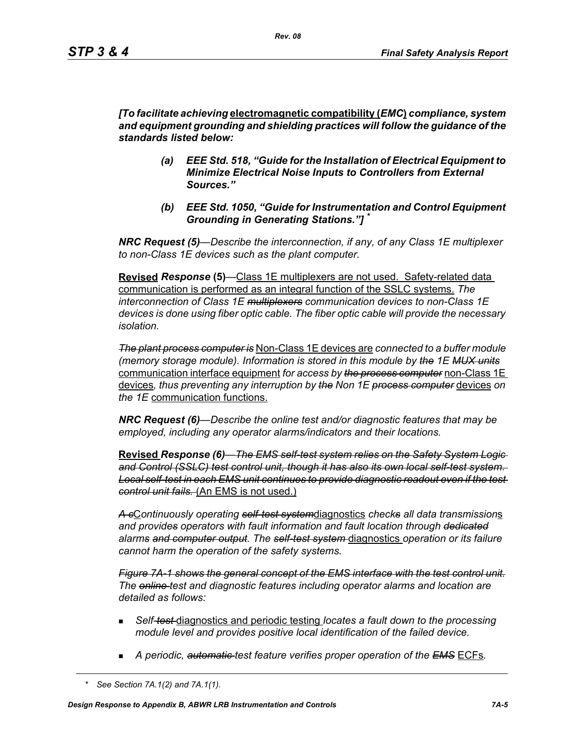*[To facilitate achieving* **electromagnetic compatibility (***EMC***)** *compliance, system and equipment grounding and shielding practices will follow the guidance of the standards listed below:*

- *(a) EEE Std. 518, "Guide for the Installation of Electrical Equipment to Minimize Electrical Noise Inputs to Controllers from External Sources."*
- *(b) EEE Std. 1050, "Guide for Instrumentation and Control Equipment Grounding in Generating Stations."] \**

*NRC Request (5)*—*Describe the interconnection, if any, of any Class 1E multiplexer to non-Class 1E devices such as the plant computer.* 

**Revised** *Response* **(5)***—*Class 1E multiplexers are not used. Safety-related data communication is performed as an integral function of the SSLC systems. *The interconnection of Class 1E multiplexers communication devices to non-Class 1E devices is done using fiber optic cable. The fiber optic cable will provide the necessary isolation.* 

*The plant process computer is* Non-Class 1E devices are *connected to a buffer module (memory storage module). Information is stored in this module by the 1E MUX units* communication interface equipment *for access by the process computer* non-Class 1E devices*, thus preventing any interruption by the Non 1E process computer* devices *on the 1E* communication functions.

*NRC Request (6)—Describe the online test and/or diagnostic features that may be employed, including any operator alarms/indicators and their locations.* 

**Revised** *Response (6)—The EMS self-test system relies on the Safety System Logic and Control (SSLC) test control unit, though it has also its own local self-test system. Local self-test in each EMS unit continues to provide diagnostic readout even if the test control unit fails.* (An EMS is not used.)

*A c*C*ontinuously operating self-test system*diagnostics *checks all data transmission*s *and provides operators with fault information and fault location through dedicated alarms and computer output. The self-test system* diagnostics *operation or its failure cannot harm the operation of the safety systems.*

*Figure 7A-1 shows the general concept of the EMS interface with the test control unit. The online test and diagnostic features including operator alarms and location are detailed as follows:*

- *Self-test* diagnostics and periodic testing *locates a fault down to the processing module level and provides positive local identification of the failed device.*
- *A periodic, automatic test feature verifies proper operation of the EMS* ECFs*.*

*<sup>\*</sup> See Section 7A.1(2) and 7A.1(1).*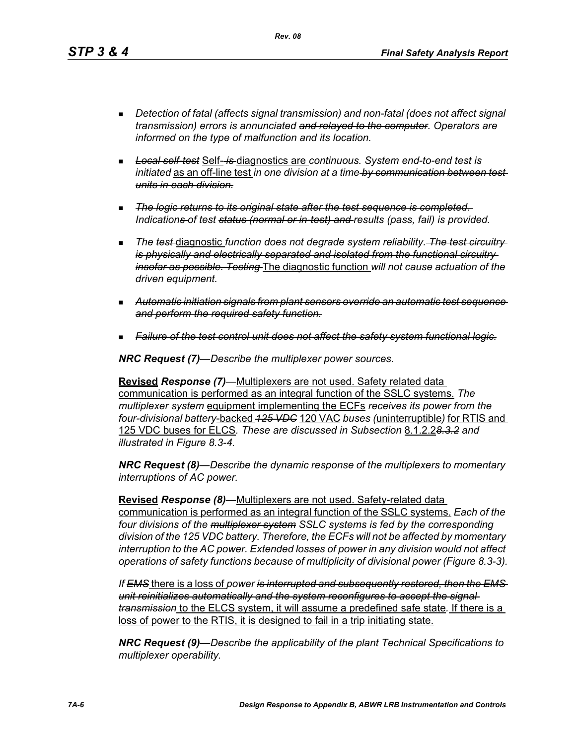*Rev. 08*

- *Detection of fatal (affects signal transmission) and non-fatal (does not affect signal transmission) errors is annunciated and relayed to the computer. Operators are informed on the type of malfunction and its location.*
- *Local self-test* Self- *is* diagnostics are *continuous. System end-to-end test is initiated* as an off-line test *in one division at a time by communication between test units in each division.*
- *The logic returns to its original state after the test sequence is completed. Indications of test status (normal or in-test) and results (pass, fail) is provided.*
- **The test diagnostic function does not degrade system reliability.** The test circuitry*is physically and electrically separated and isolated from the functional circuitry insofar as possible. Testing* The diagnostic function *will not cause actuation of the driven equipment.*
- *Automatic initiation signals from plant sensors override an automatic test sequence and perform the required safety function.*
- *Failure of the test control unit does not affect the safety system functional logic.*

*NRC Request (7)—Describe the multiplexer power sources.*

**Revised** *Response (7)—*Multiplexers are not used. Safety related data communication is performed as an integral function of the SSLC systems. *The multiplexer system* equipment implementing the ECFs *receives its power from the four-divisional battery*-backed *125 VDC* 120 VAC *buses (*uninterruptible*)* for RTIS and 125 VDC buses for ELCS*. These are discussed in Subsection* 8.1.2.2*8.3.2 and illustrated in Figure 8.3-4.*

*NRC Request (8)—Describe the dynamic response of the multiplexers to momentary interruptions of AC power.*

**Revised** *Response (8)—*Multiplexers are not used. Safety-related data communication is performed as an integral function of the SSLC systems. *Each of the four divisions of the multiplexer system SSLC systems is fed by the corresponding division of the 125 VDC battery. Therefore, the ECFs will not be affected by momentary interruption to the AC power. Extended losses of power in any division would not affect operations of safety functions because of multiplicity of divisional power (Figure 8.3-3).*

*If EMS* there is a loss of *power is interrupted and subsequently restored, then the EMS unit reinitializes automatically and the system reconfigures to accept the signal transmission* to the ELCS system, it will assume a predefined safe state*.* If there is a loss of power to the RTIS, it is designed to fail in a trip initiating state.

*NRC Request (9)—Describe the applicability of the plant Technical Specifications to multiplexer operability.*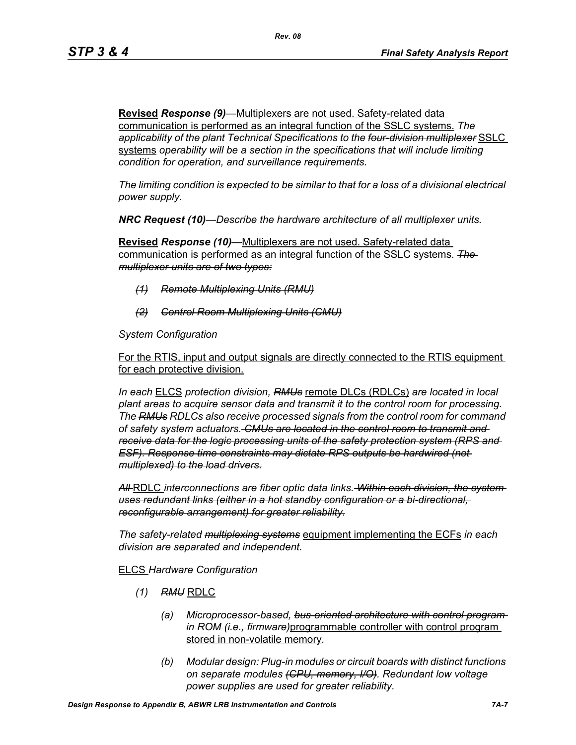**Revised** *Response (9)—*Multiplexers are not used. Safety-related data communication is performed as an integral function of the SSLC systems. *The applicability of the plant Technical Specifications to the four-division multiplexer* SSLC systems *operability will be a section in the specifications that will include limiting condition for operation, and surveillance requirements.*

*The limiting condition is expected to be similar to that for a loss of a divisional electrical power supply.*

*NRC Request (10)—Describe the hardware architecture of all multiplexer units.* 

**Revised** *Response (10)—*Multiplexers are not used. Safety-related data communication is performed as an integral function of the SSLC systems. *The multiplexer units are of two types:*

- *(1) Remote Multiplexing Units (RMU)*
- *(2) Control Room Multiplexing Units (CMU)*

*System Configuration*

For the RTIS, input and output signals are directly connected to the RTIS equipment for each protective division.

*In each* ELCS *protection division, RMUs* remote DLCs (RDLCs) *are located in local plant areas to acquire sensor data and transmit it to the control room for processing. The RMUs RDLCs also receive processed signals from the control room for command of safety system actuators. CMUs are located in the control room to transmit and receive data for the logic processing units of the safety protection system (RPS and ESF). Response time constraints may dictate RPS outputs be hardwired (not multiplexed) to the load drivers.*

*All* RDLC *interconnections are fiber optic data links. Within each division, the system uses redundant links (either in a hot standby configuration or a bi-directional, reconfigurable arrangement) for greater reliability.*

*The safety-related multiplexing systems* equipment implementing the ECFs *in each division are separated and independent.*

### ELCS *Hardware Configuration*

- *(1) RMU* RDLC
	- *(a) Microprocessor-based, bus-oriented architecture with control program in ROM (i.e., firmware)*programmable controller with control program stored in non-volatile memory*.*
	- *(b) Modular design: Plug-in modules or circuit boards with distinct functions on separate modules (CPU, memory, I/O). Redundant low voltage power supplies are used for greater reliability.*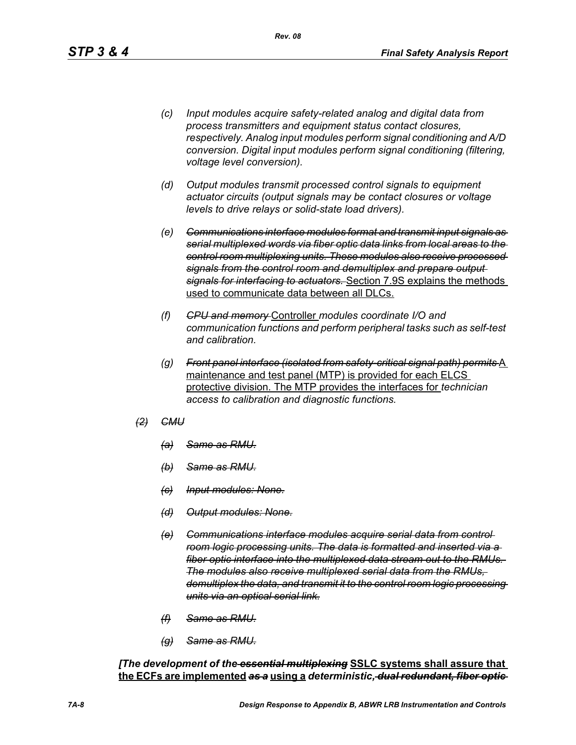- *(c) Input modules acquire safety-related analog and digital data from process transmitters and equipment status contact closures, respectively. Analog input modules perform signal conditioning and A/D conversion. Digital input modules perform signal conditioning (filtering, voltage level conversion).*
- *(d) Output modules transmit processed control signals to equipment actuator circuits (output signals may be contact closures or voltage levels to drive relays or solid-state load drivers).*
- *(e) Communications interface modules format and transmit input signals as serial multiplexed words via fiber optic data links from local areas to the control room multiplexing units. These modules also receive processed signals from the control room and demultiplex and prepare output signals for interfacing to actuators.* Section 7.9S explains the methods used to communicate data between all DLCs.
- *(f) CPU and memory* Controller *modules coordinate I/O and communication functions and perform peripheral tasks such as self-test and calibration.*
- *(g) Front panel interface (isolated from safety-critical signal path) permits* A maintenance and test panel (MTP) is provided for each ELCS protective division. The MTP provides the interfaces for *technician access to calibration and diagnostic functions.*
- *(2) CMU*
	- *(a) Same as RMU.*
	- *(b) Same as RMU.*
	- *(c) Input modules: None.*
	- *(d) Output modules: None.*
	- *(e) Communications interface modules acquire serial data from control room logic processing units. The data is formatted and inserted via a fiber optic interface into the multiplexed data stream out to the RMUs. The modules also receive multiplexed serial data from the RMUs, demultiplex the data, and transmit it to the control room logic processing units via an optical serial link.*
	- *(f) Same as RMU.*
	- *(g) Same as RMU.*

*[The development of the essential multiplexing* **SSLC systems shall assure that the ECFs are implemented** *as a* **using a** *deterministic, dual redundant, fiber optic*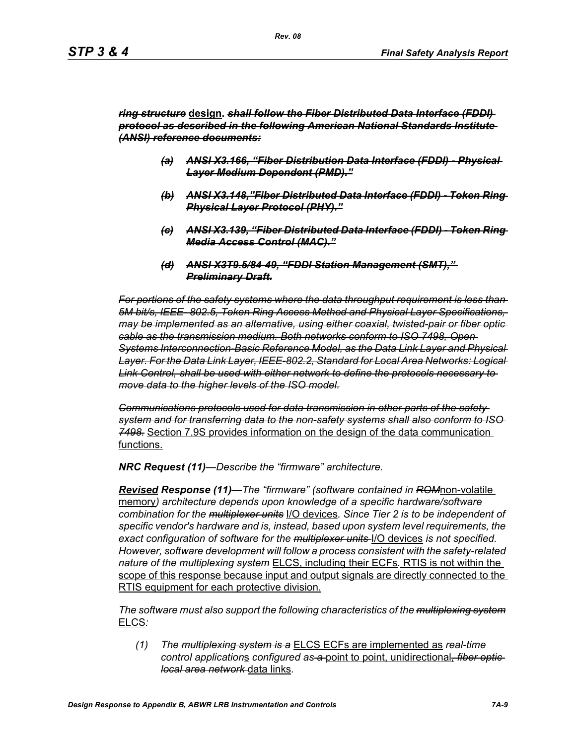#### *ring structure* **design.** *shall follow the Fiber Distributed Data Interface (FDDI) protocol as described in the following American National Standards Institute (ANSI) reference documents:*

- *(a) ANSI X3.166, "Fiber Distribution Data Interface (FDDI) Physical Layer Medium Dependent (PMD)."*
- *(b) ANSI X3.148,"Fiber Distributed Data Interface (FDDI) Token Ring Physical Layer Protocol (PHY)."*
- *(c) ANSI X3.139, "Fiber Distributed Data Interface (FDDI) Token Ring Media Access Control (MAC)."*
- *(d) ANSI X3T9.5/84-49, "FDDI Station Management (SMT)," Preliminary Draft.*

*For portions of the safety systems where the data throughput requirement is less than 5M bit/s, IEEE- 802.5, Token Ring Access Method and Physical Layer Specifications, may be implemented as an alternative, using either coaxial, twisted-pair or fiber optic cable as the transmission medium. Both networks conform to ISO 7498, Open Systems Interconnection-Basic Reference Model, as the Data Link Layer and Physical Layer. For the Data Link Layer, IEEE-802.2, Standard for Local Area Networks: Logical Link Control, shall be used with either network to define the protocols necessary to move data to the higher levels of the ISO model.*

*Communications protocols used for data transmission in other parts of the safety system and for transferring data to the non-safety systems shall also conform to ISO 7498.* Section 7.9S provides information on the design of the data communication functions.

*NRC Request (11)—Describe the "firmware" architecture.*

*Revised Response (11)—The "firmware" (software contained in ROM*non-volatile memory*) architecture depends upon knowledge of a specific hardware/software combination for the multiplexer units* I/O devices*. Since Tier 2 is to be independent of specific vendor's hardware and is, instead, based upon system level requirements, the exact configuration of software for the multiplexer units* I/O devices *is not specified. However, software development will follow a process consistent with the safety-related nature of the multiplexing system* ELCS, including their ECFs*.* RTIS is not within the scope of this response because input and output signals are directly connected to the RTIS equipment for each protective division.

*The software must also support the following characteristics of the multiplexing system* ELCS*:*

*(1) The multiplexing system is a* ELCS ECFs are implemented as *real-time control application*s *configured as a* point to point, unidirectional*, fiber optic local area network* data links*.*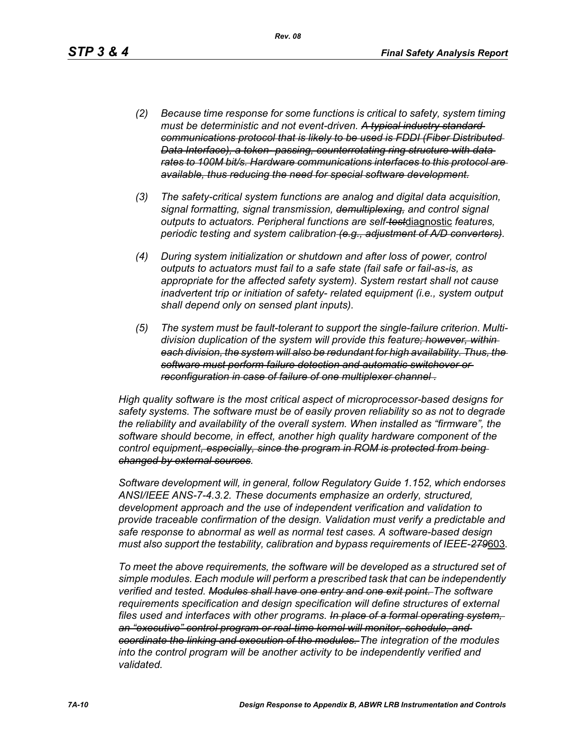- *(2) Because time response for some functions is critical to safety, system timing must be deterministic and not event-driven. A typical industry standard communications protocol that is likely to be used is FDDI (Fiber Distributed Data Interface), a token- passing, counterrotating ring structure with data rates to 100M bit/s. Hardware communications interfaces to this protocol are available, thus reducing the need for special software development.*
- *(3) The safety-critical system functions are analog and digital data acquisition, signal formatting, signal transmission, demultiplexing, and control signal outputs to actuators. Peripheral functions are self-test*diagnostic *features, periodic testing and system calibration (e.g., adjustment of A/D converters).*
- *(4) During system initialization or shutdown and after loss of power, control outputs to actuators must fail to a safe state (fail safe or fail-as-is, as appropriate for the affected safety system). System restart shall not cause inadvertent trip or initiation of safety- related equipment (i.e., system output shall depend only on sensed plant inputs).*
- *(5) The system must be fault-tolerant to support the single-failure criterion. Multidivision duplication of the system will provide this feature; however, within each division, the system will also be redundant for high availability. Thus, the software must perform failure detection and automatic switchover or reconfiguration in case of failure of one multiplexer channel .*

*High quality software is the most critical aspect of microprocessor-based designs for safety systems. The software must be of easily proven reliability so as not to degrade the reliability and availability of the overall system. When installed as "firmware", the software should become, in effect, another high quality hardware component of the control equipment, especially, since the program in ROM is protected from being changed by external sources.*

*Software development will, in general, follow Regulatory Guide 1.152, which endorses ANSI/IEEE ANS-7-4.3.2. These documents emphasize an orderly, structured, development approach and the use of independent verification and validation to provide traceable confirmation of the design. Validation must verify a predictable and safe response to abnormal as well as normal test cases. A software-based design must also support the testability, calibration and bypass requirements of IEEE-279*603*.*

*To meet the above requirements, the software will be developed as a structured set of simple modules. Each module will perform a prescribed task that can be independently verified and tested. Modules shall have one entry and one exit point. The software requirements specification and design specification will define structures of external files used and interfaces with other programs. In place of a formal operating system, an "executive" control program or real-time kernel will monitor, schedule, and coordinate the linking and execution of the modules. The integration of the modules*  into the control program will be another activity to be independently verified and *validated.*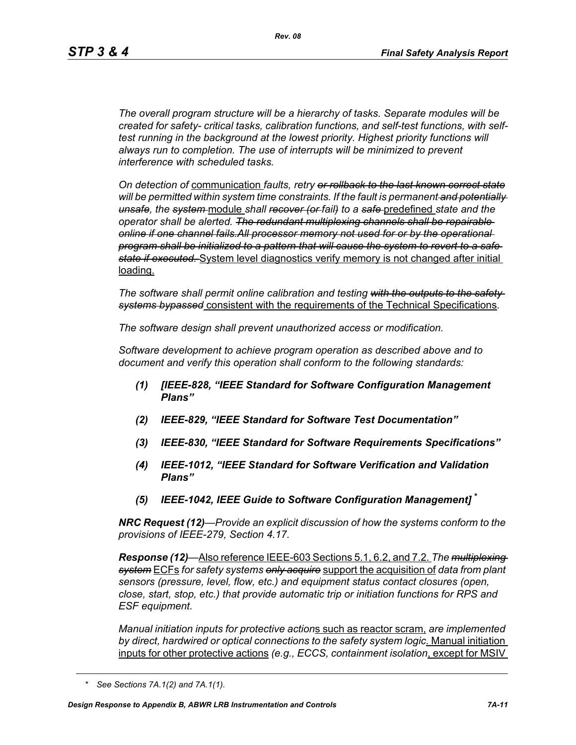*The overall program structure will be a hierarchy of tasks. Separate modules will be created for safety- critical tasks, calibration functions, and self-test functions, with selftest running in the background at the lowest priority. Highest priority functions will always run to completion. The use of interrupts will be minimized to prevent interference with scheduled tasks.* 

*On detection of* communication *faults, retry or rollback to the last known correct state will be permitted within system time constraints. If the fault is permanent and potentially unsafe, the system* module *shall recover (or fail) to a safe* predefined *state and the operator shall be alerted. The redundant multiplexing channels shall be repairable online if one channel fails.All processor memory not used for or by the operational program shall be initialized to a pattern that will cause the system to revert to a safe state if executed.* System level diagnostics verify memory is not changed after initial loading.

*The software shall permit online calibration and testing with the outputs to the safety systems bypassed* consistent with the requirements of the Technical Specifications*.* 

*The software design shall prevent unauthorized access or modification.* 

*Software development to achieve program operation as described above and to document and verify this operation shall conform to the following standards:*

- *(1) [IEEE-828, "IEEE Standard for Software Configuration Management Plans"*
- *(2) IEEE-829, "IEEE Standard for Software Test Documentation"*
- *(3) IEEE-830, "IEEE Standard for Software Requirements Specifications"*
- *(4) IEEE-1012, "IEEE Standard for Software Verification and Validation Plans"*
- *(5) IEEE-1042, IEEE Guide to Software Configuration Management]* **\***

*NRC Request (12)—Provide an explicit discussion of how the systems conform to the provisions of IEEE-279, Section 4.17.* 

*Response (12)—*Also reference IEEE-603 Sections 5.1, 6.2, and 7.2. *The multiplexing system* ECFs *for safety systems only acquire* support the acquisition of *data from plant sensors (pressure, level, flow, etc.) and equipment status contact closures (open, close, start, stop, etc.) that provide automatic trip or initiation functions for RPS and ESF equipment.* 

*Manual initiation inputs for protective action*s such as reactor scram, *are implemented by direct, hardwired or optical connections to the safety system logic*. Manual initiation inputs for other protective actions *(e.g., ECCS, containment isolation*, except for MSIV

*<sup>\*</sup> See Sections 7A.1(2) and 7A.1(1).*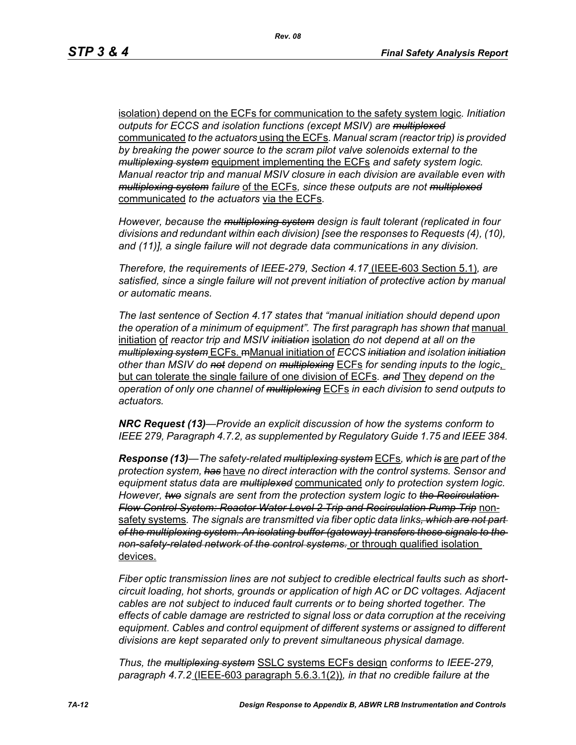isolation) depend on the ECFs for communication to the safety system logic*. Initiation outputs for ECCS and isolation functions (except MSIV) are multiplexed* communicated *to the actuators* using the ECFs*. Manual scram (reactor trip) is provided by breaking the power source to the scram pilot valve solenoids external to the multiplexing system* equipment implementing the ECFs *and safety system logic. Manual reactor trip and manual MSIV closure in each division are available even with multiplexing system failure* of the ECFs*, since these outputs are not multiplexed* communicated *to the actuators* via the ECFs*.* 

*However, because the multiplexing system design is fault tolerant (replicated in four divisions and redundant within each division) [see the responses to Requests (4), (10), and (11)], a single failure will not degrade data communications in any division.* 

*Therefore, the requirements of IEEE-279, Section 4.17* (IEEE-603 Section 5.1)*, are satisfied, since a single failure will not prevent initiation of protective action by manual or automatic means.* 

*The last sentence of Section 4.17 states that "manual initiation should depend upon*  the operation of a minimum of equipment". The first paragraph has shown that manual initiation of *reactor trip and MSIV initiation* isolation *do not depend at all on the multiplexing system* ECFs. mManual initiation of *ECCS initiation and isolation initiation other than MSIV do not depend on multiplexing* ECFs *for sending inputs to the logic*, but can tolerate the single failure of one division of ECFs*. and* They *depend on the operation of only one channel of multiplexing* ECFs *in each division to send outputs to actuators.* 

*NRC Request (13)—Provide an explicit discussion of how the systems conform to IEEE 279, Paragraph 4.7.2, as supplemented by Regulatory Guide 1.75 and IEEE 384.*

*Response (13)—The safety-related multiplexing system* ECFs*, which is* are *part of the protection system, has* have *no direct interaction with the control systems. Sensor and equipment status data are multiplexed* communicated *only to protection system logic. However, two signals are sent from the protection system logic to the Recirculation Flow Control System: Reactor Water Level 2 Trip and Recirculation Pump Trip* nonsafety systems*. The signals are transmitted via fiber optic data links, which are not part of the multiplexing system. An isolating buffer (gateway) transfers these signals to the non-safety-related network of the control systems.* or through qualified isolation devices.

*Fiber optic transmission lines are not subject to credible electrical faults such as shortcircuit loading, hot shorts, grounds or application of high AC or DC voltages. Adjacent cables are not subject to induced fault currents or to being shorted together. The effects of cable damage are restricted to signal loss or data corruption at the receiving equipment. Cables and control equipment of different systems or assigned to different divisions are kept separated only to prevent simultaneous physical damage.* 

*Thus, the multiplexing system* SSLC systems ECFs design *conforms to IEEE-279, paragraph 4.7.2* (IEEE-603 paragraph 5.6.3.1(2))*, in that no credible failure at the*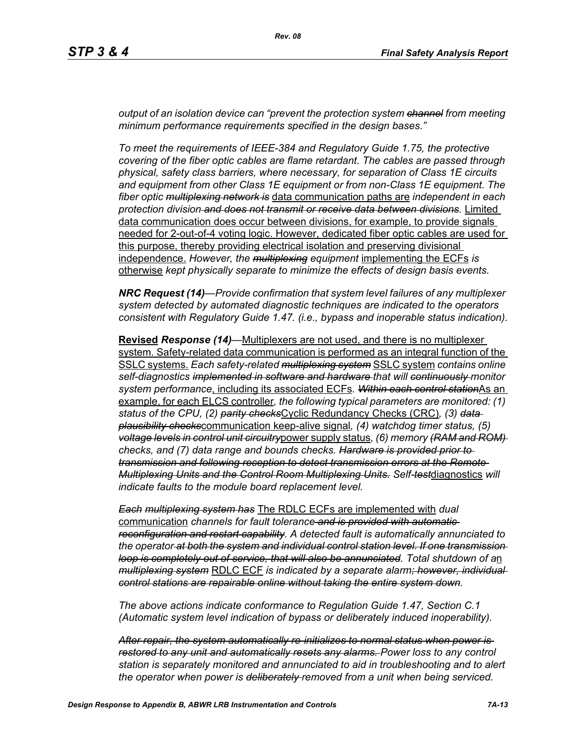*output of an isolation device can "prevent the protection system channel from meeting minimum performance requirements specified in the design bases."*

*To meet the requirements of IEEE-384 and Regulatory Guide 1.75, the protective covering of the fiber optic cables are flame retardant. The cables are passed through physical, safety class barriers, where necessary, for separation of Class 1E circuits and equipment from other Class 1E equipment or from non-Class 1E equipment. The fiber optic multiplexing network is* data communication paths are *independent in each protection division and does not transmit or receive data between divisions.* Limited data communication does occur between divisions, for example, to provide signals needed for 2-out-of-4 voting logic. However, dedicated fiber optic cables are used for this purpose, thereby providing electrical isolation and preserving divisional independence. *However, the multiplexing equipment* implementing the ECFs *is*  otherwise *kept physically separate to minimize the effects of design basis events.* 

*NRC Request (14)—Provide confirmation that system level failures of any multiplexer system detected by automated diagnostic techniques are indicated to the operators consistent with Regulatory Guide 1.47. (i.e., bypass and inoperable status indication).*

**Revised** *Response (14)—*Multiplexers are not used, and there is no multiplexer system. Safety-related data communication is performed as an integral function of the SSLC systems. *Each safety-related multiplexing system* SSLC system *contains online self-diagnostics implemented in software and hardware that will continuously monitor system performance*, including its associated ECFs*. Within each control station*As an example, for each ELCS controller*, the following typical parameters are monitored: (1) status of the CPU, (2) parity checks*Cyclic Redundancy Checks (CRC)*, (3) data plausibility checks*communication keep-alive signal*, (4) watchdog timer status, (5) voltage levels in control unit circuitry*power supply status*, (6) memory (RAM and ROM) checks, and (7) data range and bounds checks. Hardware is provided prior to transmission and following reception to detect transmission errors at the Remote Multiplexing Units and the Control Room Multiplexing Units. Self-test*diagnostics *will indicate faults to the module board replacement level.* 

*Each multiplexing system has* The RDLC ECFs are implemented with *dual*  communication *channels for fault tolerance and is provided with automatic reconfiguration and restart capability. A detected fault is automatically annunciated to the operator at both the system and individual control station level. If one transmission loop is completely out of service, that will also be annunciated. Total shutdown of a*n *multiplexing system* RDLC ECF *is indicated by a separate alarm; however, individual control stations are repairable online without taking the entire system down.* 

*The above actions indicate conformance to Regulation Guide 1.47, Section C.1 (Automatic system level indication of bypass or deliberately induced inoperability).* 

*After repair, the system automatically re-initializes to normal status when power is restored to any unit and automatically resets any alarms. Power loss to any control station is separately monitored and annunciated to aid in troubleshooting and to alert the operator when power is deliberately removed from a unit when being serviced.*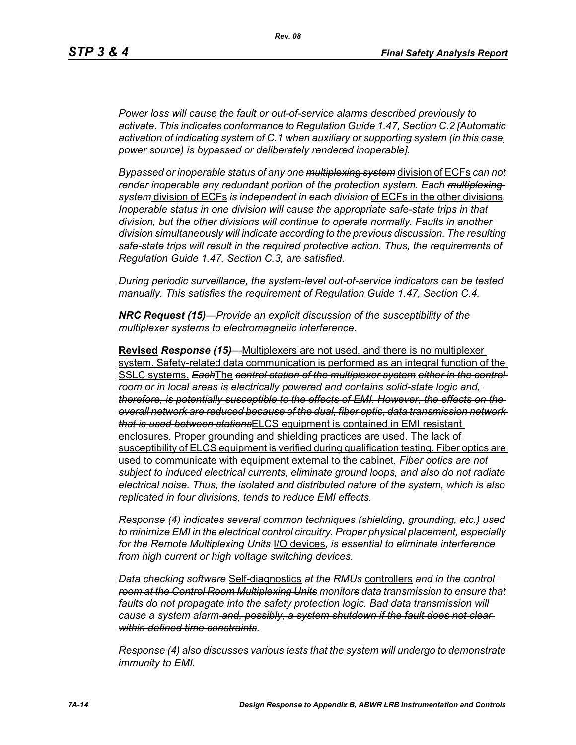*Power loss will cause the fault or out-of-service alarms described previously to activate. This indicates conformance to Regulation Guide 1.47, Section C.2 [Automatic activation of indicating system of C.1 when auxiliary or supporting system (in this case, power source) is bypassed or deliberately rendered inoperable].* 

*Bypassed or inoperable status of any one multiplexing system* division of ECFs *can not render inoperable any redundant portion of the protection system. Each multiplexing system* division of ECFs *is independent in each division* of ECFs in the other divisions*. Inoperable status in one division will cause the appropriate safe-state trips in that division, but the other divisions will continue to operate normally. Faults in another division simultaneously will indicate according to the previous discussion. The resulting safe-state trips will result in the required protective action. Thus, the requirements of Regulation Guide 1.47, Section C.3, are satisfied.* 

*During periodic surveillance, the system-level out-of-service indicators can be tested manually. This satisfies the requirement of Regulation Guide 1.47, Section C.4.* 

*NRC Request (15)—Provide an explicit discussion of the susceptibility of the multiplexer systems to electromagnetic interference.*

**Revised** *Response (15)—*Multiplexers are not used, and there is no multiplexer system. Safety-related data communication is performed as an integral function of the SSLC systems. *Each*The *control station of the multiplexer system either in the control room or in local areas is electrically powered and contains solid-state logic and, therefore, is potentially susceptible to the effects of EMI. However, the effects on the overall network are reduced because of the dual, fiber optic, data transmission network that is used between stations*ELCS equipment is contained in EMI resistant enclosures. Proper grounding and shielding practices are used. The lack of susceptibility of ELCS equipment is verified during qualification testing. Fiber optics are used to communicate with equipment external to the cabinet*. Fiber optics are not subject to induced electrical currents, eliminate ground loops, and also do not radiate electrical noise. Thus, the isolated and distributed nature of the system, which is also replicated in four divisions, tends to reduce EMI effects.* 

*Response (4) indicates several common techniques (shielding, grounding, etc.) used to minimize EMI in the electrical control circuitry. Proper physical placement, especially for the Remote Multiplexing Units* I/O devices*, is essential to eliminate interference from high current or high voltage switching devices.* 

*Data checking software* Self-diagnostics *at the RMUs* controllers *and in the control room at the Control Room Multiplexing Units monitors data transmission to ensure that*  faults do not propagate into the safety protection logic. Bad data transmission will *cause a system alarm and, possibly, a system shutdown if the fault does not clear within defined time constraints.*

*Response (4) also discusses various tests that the system will undergo to demonstrate immunity to EMI.*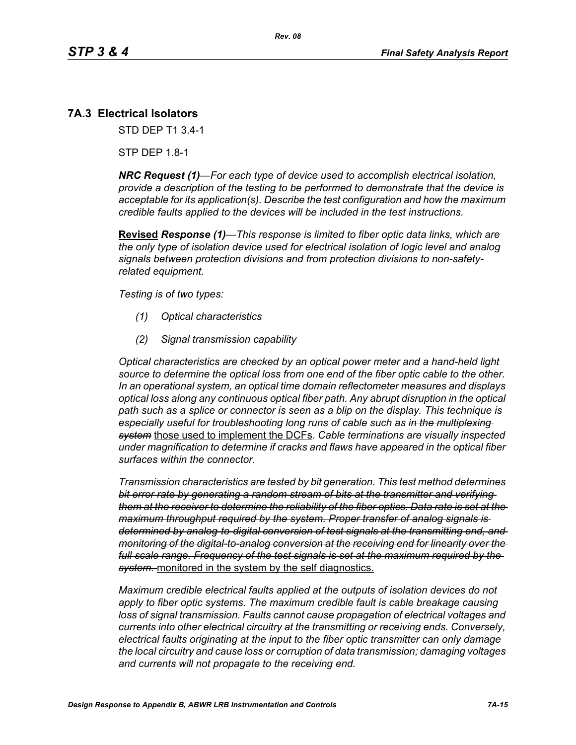## **7A.3 Electrical Isolators**

STD DEP T1 3.4-1

STP DEP 1.8-1

*NRC Request (1)—For each type of device used to accomplish electrical isolation, provide a description of the testing to be performed to demonstrate that the device is acceptable for its application(s). Describe the test configuration and how the maximum credible faults applied to the devices will be included in the test instructions.*

**Revised** *Response (1)—This response is limited to fiber optic data links, which are the only type of isolation device used for electrical isolation of logic level and analog signals between protection divisions and from protection divisions to non-safetyrelated equipment.* 

*Testing is of two types:*

- *(1) Optical characteristics*
- *(2) Signal transmission capability*

*Optical characteristics are checked by an optical power meter and a hand-held light source to determine the optical loss from one end of the fiber optic cable to the other. In an operational system, an optical time domain reflectometer measures and displays optical loss along any continuous optical fiber path. Any abrupt disruption in the optical path such as a splice or connector is seen as a blip on the display. This technique is especially useful for troubleshooting long runs of cable such as in the multiplexing system* those used to implement the DCFs*. Cable terminations are visually inspected under magnification to determine if cracks and flaws have appeared in the optical fiber surfaces within the connector.* 

*Transmission characteristics are tested by bit generation. This test method determines bit error rate by generating a random stream of bits at the transmitter and verifying them at the receiver to determine the reliability of the fiber optics. Data rate is set at the maximum throughput required by the system. Proper transfer of analog signals is determined by analog-to-digital conversion of test signals at the transmitting end, and monitoring of the digital-to-analog conversion at the receiving end for linearity over the full scale range. Frequency of the test signals is set at the maximum required by the system.* monitored in the system by the self diagnostics.

*Maximum credible electrical faults applied at the outputs of isolation devices do not apply to fiber optic systems. The maximum credible fault is cable breakage causing loss of signal transmission. Faults cannot cause propagation of electrical voltages and currents into other electrical circuitry at the transmitting or receiving ends. Conversely, electrical faults originating at the input to the fiber optic transmitter can only damage the local circuitry and cause loss or corruption of data transmission; damaging voltages and currents will not propagate to the receiving end.*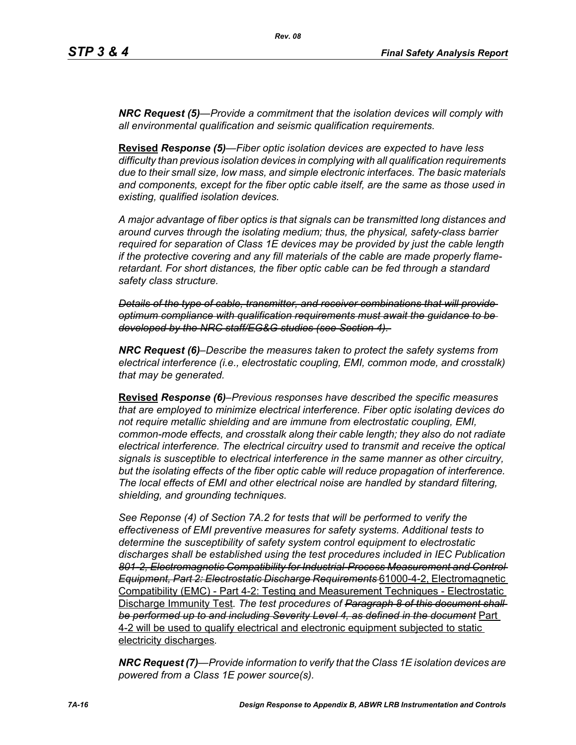*NRC Request (5)—Provide a commitment that the isolation devices will comply with all environmental qualification and seismic qualification requirements.*

**Revised** *Response (5)—Fiber optic isolation devices are expected to have less difficulty than previous isolation devices in complying with all qualification requirements due to their small size, low mass, and simple electronic interfaces. The basic materials and components, except for the fiber optic cable itself, are the same as those used in existing, qualified isolation devices.* 

*A major advantage of fiber optics is that signals can be transmitted long distances and around curves through the isolating medium; thus, the physical, safety-class barrier required for separation of Class 1E devices may be provided by just the cable length if the protective covering and any fill materials of the cable are made properly flameretardant. For short distances, the fiber optic cable can be fed through a standard safety class structure.* 

*Details of the type of cable, transmitter, and receiver combinations that will provide optimum compliance with qualification requirements must await the guidance to be developed by the NRC staff/EG&G studies (see Section 4).* 

*NRC Request (6)–Describe the measures taken to protect the safety systems from electrical interference (i.e., electrostatic coupling, EMI, common mode, and crosstalk) that may be generated.*

**Revised** *Response (6)–Previous responses have described the specific measures that are employed to minimize electrical interference. Fiber optic isolating devices do not require metallic shielding and are immune from electrostatic coupling, EMI, common-mode effects, and crosstalk along their cable length; they also do not radiate electrical interference. The electrical circuitry used to transmit and receive the optical signals is susceptible to electrical interference in the same manner as other circuitry, but the isolating effects of the fiber optic cable will reduce propagation of interference. The local effects of EMI and other electrical noise are handled by standard filtering, shielding, and grounding techniques.*

*See Reponse (4) of Section 7A.2 for tests that will be performed to verify the effectiveness of EMI preventive measures for safety systems. Additional tests to determine the susceptibility of safety system control equipment to electrostatic discharges shall be established using the test procedures included in IEC Publication 801-2, Electromagnetic Compatibility for Industrial-Process Measurement and Control Equipment, Part 2: Electrostatic Discharge Requirements* 61000-4-2, Electromagnetic Compatibility (EMC) - Part 4-2: Testing and Measurement Techniques - Electrostatic Discharge Immunity Test*. The test procedures of Paragraph 8 of this document shall be performed up to and including Severity Level 4, as defined in the document* Part 4-2 will be used to qualify electrical and electronic equipment subjected to static electricity discharges*.*

*NRC Request (7)—Provide information to verify that the Class 1E isolation devices are powered from a Class 1E power source(s).*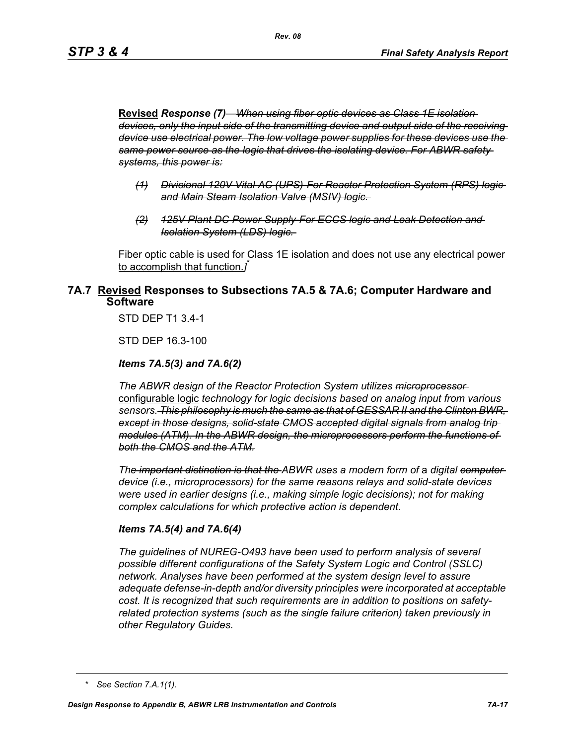**Revised** *Response (7)—When using fiber optic devices as Class 1E isolation devices, only the input side of the transmitting device and output side of the receiving device use electrical power. The low voltage power supplies for these devices use the same power source as the logic that drives the isolating device. For ABWR safety systems, this power is:*

- *(1) Divisional 120V Vital AC (UPS)-For Reactor Protection System (RPS) logic and Main Steam Isolation Valve (MSIV) logic.*
- *(2) 125V Plant DC Power Supply-For ECCS logic and Leak Detection and Isolation System (LDS) logic.*

Fiber optic cable is used for Class 1E isolation and does not use any electrical power to accomplish that function.*]* \*

## **7A.7 Revised Responses to Subsections 7A.5 & 7A.6; Computer Hardware and Software**

STD DEP T1 3.4-1

STD DEP 16.3-100

#### *Items 7A.5(3) and 7A.6(2)*

*The ABWR design of the Reactor Protection System utilizes microprocessor*  configurable logic *technology for logic decisions based on analog input from various sensors. This philosophy is much the same as that of GESSAR II and the Clinton BWR, except in those designs, solid-state CMOS accepted digital signals from analog trip modules (ATM). In the ABWR design, the microprocessors perform the functions of both the CMOS and the ATM.*

*The important distinction is that the ABWR uses a modern form of a digital computer device (i.e., microprocessors) for the same reasons relays and solid-state devices were used in earlier designs (i.e., making simple logic decisions); not for making complex calculations for which protective action is dependent.*

#### *Items 7A.5(4) and 7A.6(4)*

*The guidelines of NUREG-O493 have been used to perform analysis of several possible different configurations of the Safety System Logic and Control (SSLC) network. Analyses have been performed at the system design level to assure adequate defense-in-depth and/or diversity principles were incorporated at acceptable cost. It is recognized that such requirements are in addition to positions on safetyrelated protection systems (such as the single failure criterion) taken previously in other Regulatory Guides.*

*<sup>\*</sup> See Section 7.A.1(1).*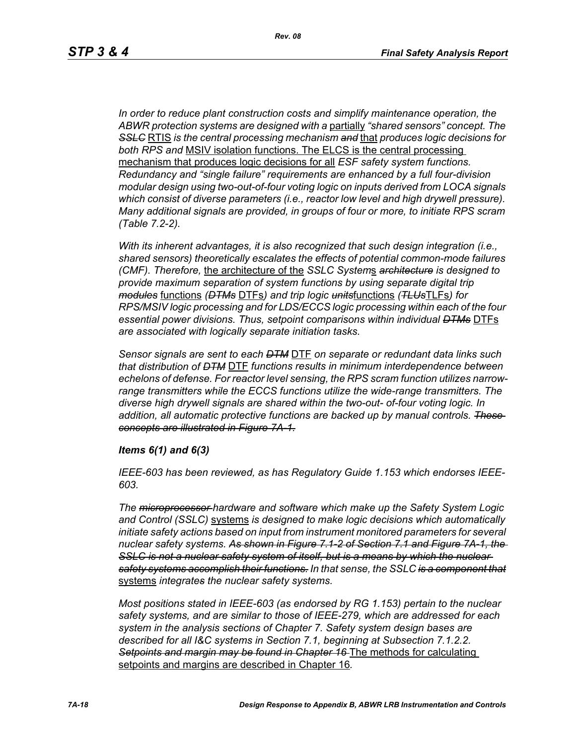*In order to reduce plant construction costs and simplify maintenance operation, the ABWR protection systems are designed with a* partially *"shared sensors" concept. The SSLC* RTIS *is the central processing mechanism and* that *produces logic decisions for both RPS and* MSIV isolation functions. The ELCS is the central processing mechanism that produces logic decisions for all *ESF safety system functions. Redundancy and "single failure" requirements are enhanced by a full four-division modular design using two-out-of-four voting logic on inputs derived from LOCA signals which consist of diverse parameters (i.e., reactor low level and high drywell pressure). Many additional signals are provided, in groups of four or more, to initiate RPS scram (Table 7.2-2).*

*With its inherent advantages, it is also recognized that such design integration (i.e., shared sensors) theoretically escalates the effects of potential common-mode failures (CMF). Therefore,* the architecture of the *SSLC System*s *architecture is designed to provide maximum separation of system functions by using separate digital trip modules* functions *(DTMs* DTFs*) and trip logic units*functions *(TLUs*TLFs*) for RPS/MSIV logic processing and for LDS/ECCS logic processing within each of the four essential power divisions. Thus, setpoint comparisons within individual DTMs* DTFs *are associated with logically separate initiation tasks.* 

*Sensor signals are sent to each DTM* DTF *on separate or redundant data links such that distribution of DTM* DTF *functions results in minimum interdependence between echelons of defense. For reactor level sensing, the RPS scram function utilizes narrowrange transmitters while the ECCS functions utilize the wide-range transmitters. The diverse high drywell signals are shared within the two-out- of-four voting logic. In addition, all automatic protective functions are backed up by manual controls. These concepts are illustrated in Figure 7A-1.*

#### *Items 6(1) and 6(3)*

*IEEE-603 has been reviewed, as has Regulatory Guide 1.153 which endorses IEEE-603.*

*The microprocessor hardware and software which make up the Safety System Logic and Control (SSLC)* systems *is designed to make logic decisions which automatically initiate safety actions based on input from instrument monitored parameters for several nuclear safety systems. As shown in Figure 7.1-2 of Section 7.1 and Figure 7A-1, the*  **SSLC is not a nuclear safety system of itself, but is a means by which the nuclear** *safety systems accomplish their functions. In that sense, the SSLC is a component that* systems *integrates the nuclear safety systems.*

*Most positions stated in IEEE-603 (as endorsed by RG 1.153) pertain to the nuclear safety systems, and are similar to those of IEEE-279, which are addressed for each system in the analysis sections of Chapter 7. Safety system design bases are described for all I&C systems in Section 7.1, beginning at Subsection 7.1.2.2. Setpoints and margin may be found in Chapter 16* The methods for calculating setpoints and margins are described in Chapter 16*.*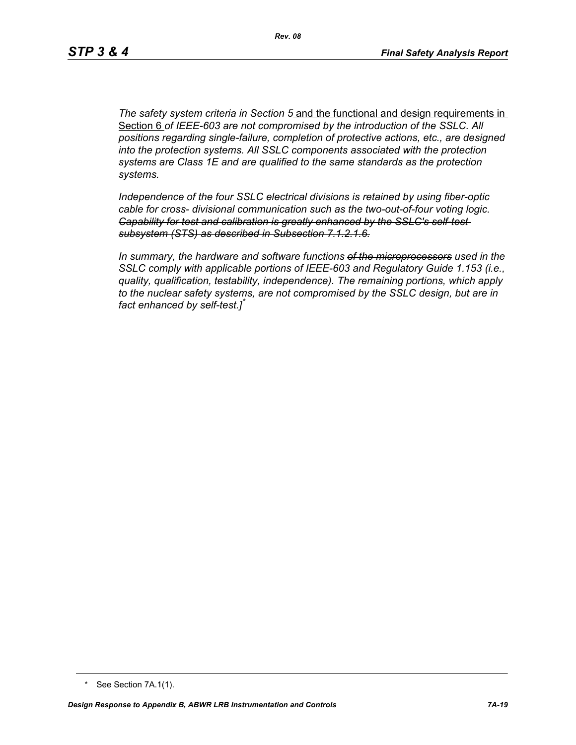*The safety system criteria in Section 5* and the functional and design requirements in Section 6 *of IEEE-603 are not compromised by the introduction of the SSLC. All positions regarding single-failure, completion of protective actions, etc., are designed into the protection systems. All SSLC components associated with the protection systems are Class 1E and are qualified to the same standards as the protection systems.*

*Independence of the four SSLC electrical divisions is retained by using fiber-optic cable for cross- divisional communication such as the two-out-of-four voting logic. Capability for test and calibration is greatly enhanced by the SSLC's self-test subsystem (STS) as described in Subsection 7.1.2.1.6.*

*In summary, the hardware and software functions of the microprocessors used in the SSLC comply with applicable portions of IEEE-603 and Regulatory Guide 1.153 (i.e., quality, qualification, testability, independence). The remaining portions, which apply to the nuclear safety systems, are not compromised by the SSLC design, but are in fact enhanced by self-test.]\**

<sup>\*</sup> See Section 7A.1(1).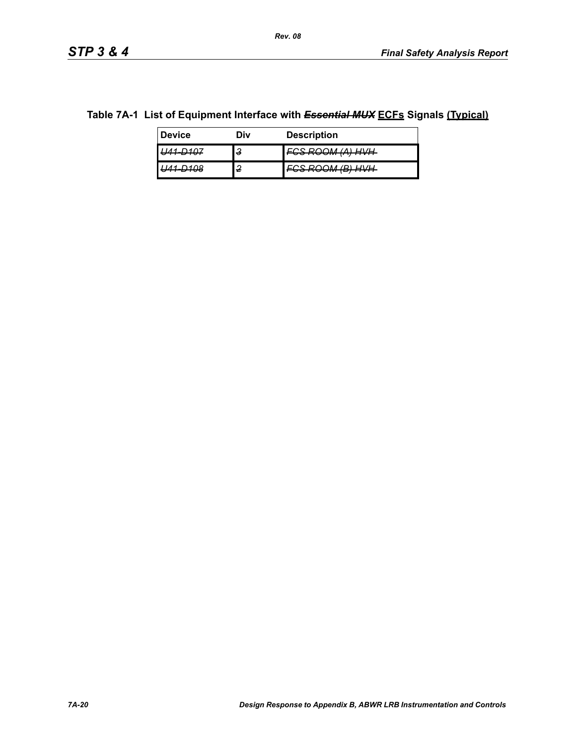### **Table 7A-1 List of Equipment Interface with** *Essential MUX* **ECFs Signals (Typical)**

| <b>Device</b>          | Div    | <b>Description</b>                              |
|------------------------|--------|-------------------------------------------------|
| <del>- 70 r</del>      | З      | 79 <i>ROOM (A) HVH</i><br><del>vonovmmmmm</del> |
| 100<br><del>— 00</del> | ົ<br>z | OOM /R) HVH<br><del>,,,,,,,,,,,,,,,,,</del>     |